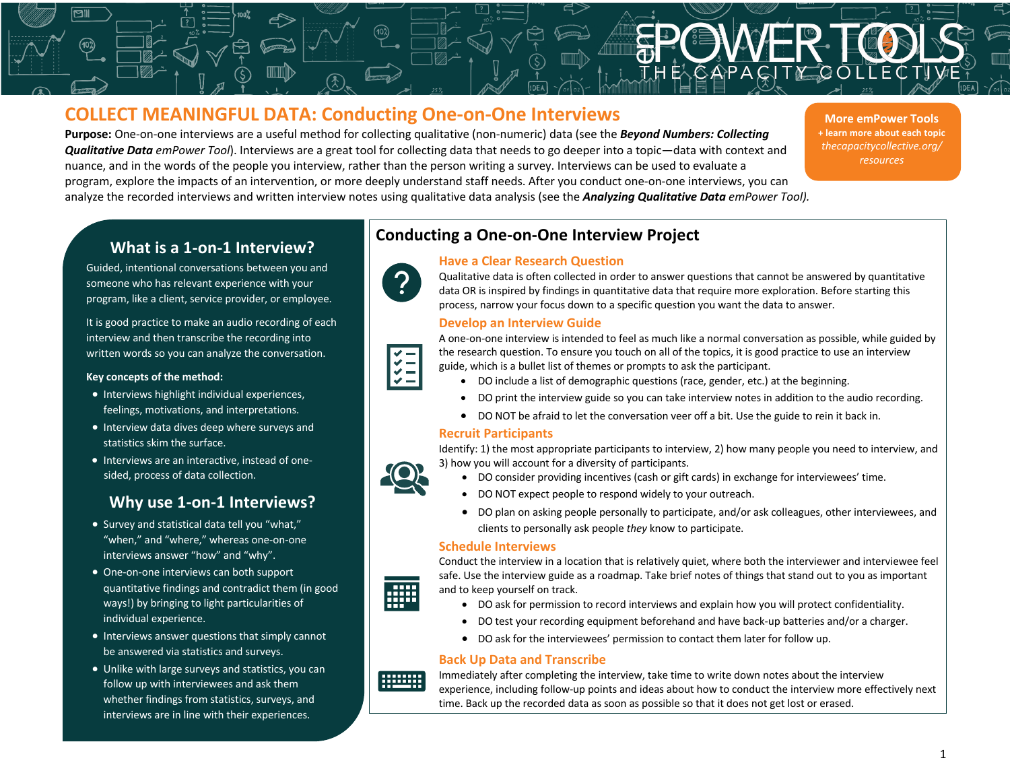# **COLLECT MEANINGFUL DATA: Conducting One-on-One Interviews**

**Purpose:** One-on-one interviews are a useful method for collecting qualitative (non-numeric) data (see the *Beyond Numbers: Collecting Qualitative Data emPower Tool*). Interviews are a great tool for collecting data that needs to go deeper into a topic—data with context and nuance, and in the words of the people you interview, rather than the person writing a survey. Interviews can be used to evaluate a program, explore the impacts of an intervention, or more deeply understand staff needs. After you conduct one-on-one interviews, you can analyze the recorded interviews and written interview notes using qualitative data analysis (see the *Analyzing Qualitative Data emPower Tool).*

**More emPower Tools + learn more about each topic** *thecapacitycollective.org/ resources*

## **What is a 1-on-1 Interview?**

Guided, intentional conversations between you and someone who has relevant experience with your program, like a client, service provider, or employee.

It is good practice to make an audio recording of each interview and then transcribe the recording into written words so you can analyze the conversation.

#### **Key concepts of the method:**

- Interviews highlight individual experiences, feelings, motivations, and interpretations.
- Interview data dives deep where surveys and statistics skim the surface.
- Interviews are an interactive, instead of onesided, process of data collection.

# **Why use 1-on-1 Interviews?**

- Survey and statistical data tell you "what," "when," and "where," whereas one-on-one interviews answer "how" and "why".
- One-on-one interviews can both support quantitative findings and contradict them (in good ways!) by bringing to light particularities of individual experience.
- Interviews answer questions that simply cannot be answered via statistics and surveys.
- Unlike with large surveys and statistics, you can follow up with interviewees and ask them whether findings from statistics, surveys, and interviews are in line with their experiences.

# **Conducting a One-on-One Interview Project**



## **Have a Clear Research Question**

Qualitative data is often collected in order to answer questions that cannot be answered by quantitative data OR is inspired by findings in quantitative data that require more exploration. Before starting this process, narrow your focus down to a specific question you want the data to answer.

## **Develop an Interview Guide**

A one-on-one interview is intended to feel as much like a normal conversation as possible, while guided by the research question. To ensure you touch on all of the topics, it is good practice to use an interview guide, which is a bullet list of themes or prompts to ask the participant.

- DO include a list of demographic questions (race, gender, etc.) at the beginning.
- DO print the interview guide so you can take interview notes in addition to the audio recording.
- DO NOT be afraid to let the conversation veer off a bit. Use the guide to rein it back in.

## **Recruit Participants**

Identify: 1) the most appropriate participants to interview, 2) how many people you need to interview, and 3) how you will account for a diversity of participants.

- - DO consider providing incentives (cash or gift cards) in exchange for interviewees' time.
	- DO NOT expect people to respond widely to your outreach.

**Data** Collection

• DO plan on asking people personally to participate, and/or ask colleagues, other interviewees, and clients to personally ask people *they* know to participate.

## **Schedule Interviews**



Conduct the interview in a location that is relatively quiet, where both the interviewer and interviewee feel safe. Use the interview guide as a roadmap. Take brief notes of things that stand out to you as important and to keep yourself on track.

- DO ask for permission to record interviews and explain how you will protect confidentiality.
- DO test your recording equipment beforehand and have back-up batteries and/or a charger.
- DO ask for the interviewees' permission to contact them later for follow up.

## **Back Up Data and Transcribe**



Immediately after completing the interview, take time to write down notes about the interview experience, including follow-up points and ideas about how to conduct the interview more effectively next time. Back up the recorded data as soon as possible so that it does not get lost or erased.